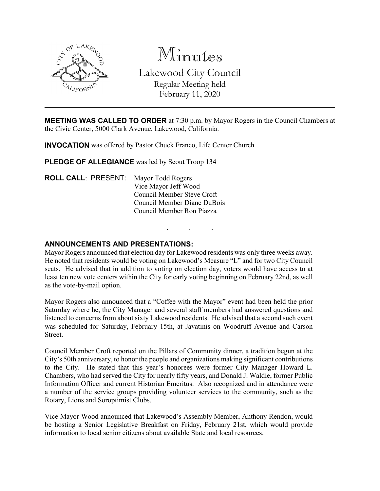

Minutes

Lakewood City Council Regular Meeting held February 11, 2020

**MEETING WAS CALLED TO ORDER** at 7:30 p.m. by Mayor Rogers in the Council Chambers at the Civic Center, 5000 Clark Avenue, Lakewood, California.

**INVOCATION** was offered by Pastor Chuck Franco, Life Center Church

**PLEDGE OF ALLEGIANCE** was led by Scout Troop 134

**ROLL CALL**: PRESENT: Mayor Todd Rogers Vice Mayor Jeff Wood Council Member Steve Croft Council Member Diane DuBois Council Member Ron Piazza

# **ANNOUNCEMENTS AND PRESENTATIONS:**

Mayor Rogers announced that election day for Lakewood residents was only three weeks away. He noted that residents would be voting on Lakewood's Measure "L" and for two City Council seats. He advised that in addition to voting on election day, voters would have access to at least ten new vote centers within the City for early voting beginning on February 22nd, as well as the vote-by-mail option.

. . .

Mayor Rogers also announced that a "Coffee with the Mayor" event had been held the prior Saturday where he, the City Manager and several staff members had answered questions and listened to concerns from about sixty Lakewood residents. He advised that a second such event was scheduled for Saturday, February 15th, at Javatinis on Woodruff Avenue and Carson Street.

Council Member Croft reported on the Pillars of Community dinner, a tradition begun at the City's 50th anniversary, to honor the people and organizations making significant contributions to the City. He stated that this year's honorees were former City Manager Howard L. Chambers, who had served the City for nearly fifty years, and Donald J. Waldie, former Public Information Officer and current Historian Emeritus. Also recognized and in attendance were a number of the service groups providing volunteer services to the community, such as the Rotary, Lions and Soroptimist Clubs.

Vice Mayor Wood announced that Lakewood's Assembly Member, Anthony Rendon, would be hosting a Senior Legislative Breakfast on Friday, February 21st, which would provide information to local senior citizens about available State and local resources.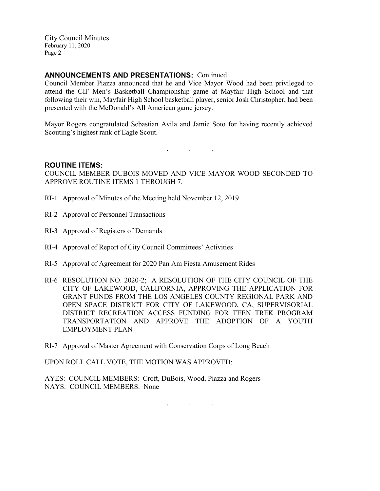## **ANNOUNCEMENTS AND PRESENTATIONS:** Continued

Council Member Piazza announced that he and Vice Mayor Wood had been privileged to attend the CIF Men's Basketball Championship game at Mayfair High School and that following their win, Mayfair High School basketball player, senior Josh Christopher, had been presented with the McDonald's All American game jersey.

Mayor Rogers congratulated Sebastian Avila and Jamie Soto for having recently achieved Scouting's highest rank of Eagle Scout.

. . .

#### **ROUTINE ITEMS:**

COUNCIL MEMBER DUBOIS MOVED AND VICE MAYOR WOOD SECONDED TO APPROVE ROUTINE ITEMS 1 THROUGH 7.

- RI-1 Approval of Minutes of the Meeting held November 12, 2019
- RI-2 Approval of Personnel Transactions
- RI-3 Approval of Registers of Demands
- RI-4 Approval of Report of City Council Committees' Activities
- RI-5 Approval of Agreement for 2020 Pan Am Fiesta Amusement Rides
- RI-6 RESOLUTION NO. 2020-2; A RESOLUTION OF THE CITY COUNCIL OF THE CITY OF LAKEWOOD, CALIFORNIA, APPROVING THE APPLICATION FOR GRANT FUNDS FROM THE LOS ANGELES COUNTY REGIONAL PARK AND OPEN SPACE DISTRICT FOR CITY OF LAKEWOOD, CA, SUPERVISORIAL DISTRICT RECREATION ACCESS FUNDING FOR TEEN TREK PROGRAM TRANSPORTATION AND APPROVE THE ADOPTION OF A YOUTH EMPLOYMENT PLAN

. . .

RI-7 Approval of Master Agreement with Conservation Corps of Long Beach

UPON ROLL CALL VOTE, THE MOTION WAS APPROVED:

AYES: COUNCIL MEMBERS: Croft, DuBois, Wood, Piazza and Rogers NAYS: COUNCIL MEMBERS: None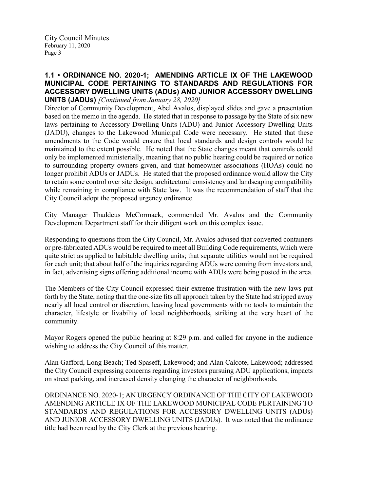### **1.1 • ORDINANCE NO. 2020-1; AMENDING ARTICLE IX OF THE LAKEWOOD MUNICIPAL CODE PERTAINING TO STANDARDS AND REGULATIONS FOR ACCESSORY DWELLING UNITS (ADUs) AND JUNIOR ACCESSORY DWELLING UNITS (JADUs)** *[Continued from January 28, 2020]*

Director of Community Development, Abel Avalos, displayed slides and gave a presentation based on the memo in the agenda. He stated that in response to passage by the State of six new laws pertaining to Accessory Dwelling Units (ADU) and Junior Accessory Dwelling Units (JADU), changes to the Lakewood Municipal Code were necessary. He stated that these amendments to the Code would ensure that local standards and design controls would be maintained to the extent possible. He noted that the State changes meant that controls could only be implemented ministerially, meaning that no public hearing could be required or notice to surrounding property owners given, and that homeowner associations (HOAs) could no longer prohibit ADUs or JADUs. He stated that the proposed ordinance would allow the City to retain some control over site design, architectural consistency and landscaping compatibility while remaining in compliance with State law. It was the recommendation of staff that the City Council adopt the proposed urgency ordinance.

City Manager Thaddeus McCormack, commended Mr. Avalos and the Community Development Department staff for their diligent work on this complex issue.

Responding to questions from the City Council, Mr. Avalos advised that converted containers or pre-fabricated ADUs would be required to meet all Building Code requirements, which were quite strict as applied to habitable dwelling units; that separate utilities would not be required for each unit; that about half of the inquiries regarding ADUs were coming from investors and, in fact, advertising signs offering additional income with ADUs were being posted in the area.

The Members of the City Council expressed their extreme frustration with the new laws put forth by the State, noting that the one-size fits all approach taken by the State had stripped away nearly all local control or discretion, leaving local governments with no tools to maintain the character, lifestyle or livability of local neighborhoods, striking at the very heart of the community.

Mayor Rogers opened the public hearing at 8:29 p.m. and called for anyone in the audience wishing to address the City Council of this matter.

Alan Gafford, Long Beach; Ted Spaseff, Lakewood; and Alan Calcote, Lakewood; addressed the City Council expressing concerns regarding investors pursuing ADU applications, impacts on street parking, and increased density changing the character of neighborhoods.

ORDINANCE NO. 2020-1; AN URGENCY ORDINANCE OF THE CITY OF LAKEWOOD AMENDING ARTICLE IX OF THE LAKEWOOD MUNICIPAL CODE PERTAINING TO STANDARDS AND REGULATIONS FOR ACCESSORY DWELLING UNITS (ADUs) AND JUNIOR ACCESSORY DWELLING UNITS (JADUs). It was noted that the ordinance title had been read by the City Clerk at the previous hearing.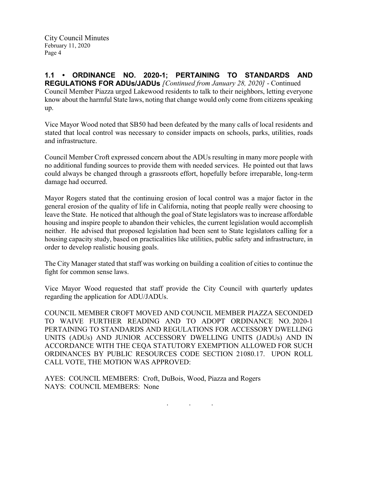**1.1 • ORDINANCE NO. 2020-1; PERTAINING TO STANDARDS AND REGULATIONS FOR ADUs/JADUs** *[Continued from January 28, 2020]* - Continued Council Member Piazza urged Lakewood residents to talk to their neighbors, letting everyone know about the harmful State laws, noting that change would only come from citizens speaking up.

Vice Mayor Wood noted that SB50 had been defeated by the many calls of local residents and stated that local control was necessary to consider impacts on schools, parks, utilities, roads and infrastructure.

Council Member Croft expressed concern about the ADUs resulting in many more people with no additional funding sources to provide them with needed services. He pointed out that laws could always be changed through a grassroots effort, hopefully before irreparable, long-term damage had occurred.

Mayor Rogers stated that the continuing erosion of local control was a major factor in the general erosion of the quality of life in California, noting that people really were choosing to leave the State. He noticed that although the goal of State legislators was to increase affordable housing and inspire people to abandon their vehicles, the current legislation would accomplish neither. He advised that proposed legislation had been sent to State legislators calling for a housing capacity study, based on practicalities like utilities, public safety and infrastructure, in order to develop realistic housing goals.

The City Manager stated that staff was working on building a coalition of cities to continue the fight for common sense laws.

Vice Mayor Wood requested that staff provide the City Council with quarterly updates regarding the application for ADU/JADUs.

COUNCIL MEMBER CROFT MOVED AND COUNCIL MEMBER PIAZZA SECONDED TO WAIVE FURTHER READING AND TO ADOPT ORDINANCE NO. 2020-1 PERTAINING TO STANDARDS AND REGULATIONS FOR ACCESSORY DWELLING UNITS (ADUs) AND JUNIOR ACCESSORY DWELLING UNITS (JADUs) AND IN ACCORDANCE WITH THE CEQA STATUTORY EXEMPTION ALLOWED FOR SUCH ORDINANCES BY PUBLIC RESOURCES CODE SECTION 21080.17. UPON ROLL CALL VOTE, THE MOTION WAS APPROVED:

AYES: COUNCIL MEMBERS: Croft, DuBois, Wood, Piazza and Rogers NAYS: COUNCIL MEMBERS: None

. . .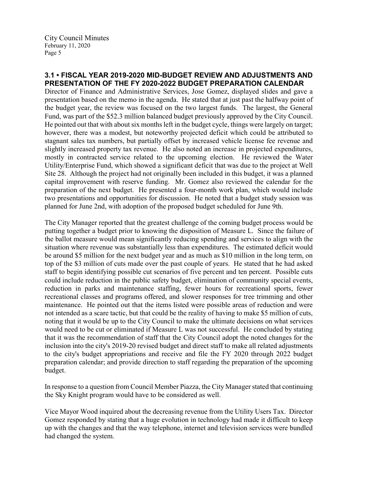# **3.1 • FISCAL YEAR 2019-2020 MID-BUDGET REVIEW AND ADJUSTMENTS AND PRESENTATION OF THE FY 2020-2022 BUDGET PREPARATION CALENDAR**

Director of Finance and Administrative Services, Jose Gomez, displayed slides and gave a presentation based on the memo in the agenda. He stated that at just past the halfway point of the budget year, the review was focused on the two largest funds. The largest, the General Fund, was part of the \$52.3 million balanced budget previously approved by the City Council. He pointed out that with about six months left in the budget cycle, things were largely on target; however, there was a modest, but noteworthy projected deficit which could be attributed to stagnant sales tax numbers, but partially offset by increased vehicle license fee revenue and slightly increased property tax revenue. He also noted an increase in projected expenditures, mostly in contracted service related to the upcoming election. He reviewed the Water Utility/Enterprise Fund, which showed a significant deficit that was due to the project at Well Site 28. Although the project had not originally been included in this budget, it was a planned capital improvement with reserve funding. Mr. Gomez also reviewed the calendar for the preparation of the next budget. He presented a four-month work plan, which would include two presentations and opportunities for discussion. He noted that a budget study session was planned for June 2nd, with adoption of the proposed budget scheduled for June 9th.

The City Manager reported that the greatest challenge of the coming budget process would be putting together a budget prior to knowing the disposition of Measure L. Since the failure of the ballot measure would mean significantly reducing spending and services to align with the situation where revenue was substantially less than expenditures. The estimated deficit would be around \$5 million for the next budget year and as much as \$10 million in the long term, on top of the \$3 million of cuts made over the past couple of years. He stated that he had asked staff to begin identifying possible cut scenarios of five percent and ten percent. Possible cuts could include reduction in the public safety budget, elimination of community special events, reduction in parks and maintenance staffing, fewer hours for recreational sports, fewer recreational classes and programs offered, and slower responses for tree trimming and other maintenance. He pointed out that the items listed were possible areas of reduction and were not intended as a scare tactic, but that could be the reality of having to make \$5 million of cuts, noting that it would be up to the City Council to make the ultimate decisions on what services would need to be cut or eliminated if Measure L was not successful. He concluded by stating that it was the recommendation of staff that the City Council adopt the noted changes for the inclusion into the city's 2019-20 revised budget and direct staff to make all related adjustments to the city's budget appropriations and receive and file the FY 2020 through 2022 budget preparation calendar; and provide direction to staff regarding the preparation of the upcoming budget.

In response to a question from Council Member Piazza, the City Manager stated that continuing the Sky Knight program would have to be considered as well.

Vice Mayor Wood inquired about the decreasing revenue from the Utility Users Tax. Director Gomez responded by stating that a huge evolution in technology had made it difficult to keep up with the changes and that the way telephone, internet and television services were bundled had changed the system.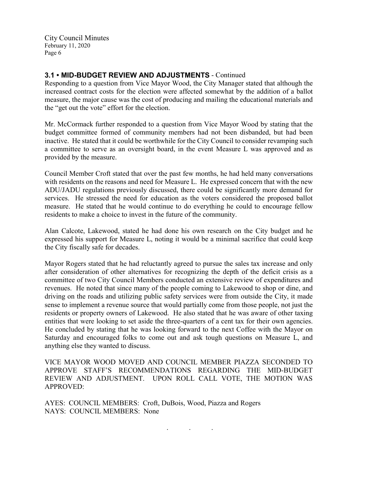## **3.1 • MID-BUDGET REVIEW AND ADJUSTMENTS** - Continued

Responding to a question from Vice Mayor Wood, the City Manager stated that although the increased contract costs for the election were affected somewhat by the addition of a ballot measure, the major cause was the cost of producing and mailing the educational materials and the "get out the vote" effort for the election.

Mr. McCormack further responded to a question from Vice Mayor Wood by stating that the budget committee formed of community members had not been disbanded, but had been inactive. He stated that it could be worthwhile for the City Council to consider revamping such a committee to serve as an oversight board, in the event Measure L was approved and as provided by the measure.

Council Member Croft stated that over the past few months, he had held many conversations with residents on the reasons and need for Measure L. He expressed concern that with the new ADU/JADU regulations previously discussed, there could be significantly more demand for services. He stressed the need for education as the voters considered the proposed ballot measure. He stated that he would continue to do everything he could to encourage fellow residents to make a choice to invest in the future of the community.

Alan Calcote, Lakewood, stated he had done his own research on the City budget and he expressed his support for Measure L, noting it would be a minimal sacrifice that could keep the City fiscally safe for decades.

Mayor Rogers stated that he had reluctantly agreed to pursue the sales tax increase and only after consideration of other alternatives for recognizing the depth of the deficit crisis as a committee of two City Council Members conducted an extensive review of expenditures and revenues. He noted that since many of the people coming to Lakewood to shop or dine, and driving on the roads and utilizing public safety services were from outside the City, it made sense to implement a revenue source that would partially come from those people, not just the residents or property owners of Lakewood. He also stated that he was aware of other taxing entities that were looking to set aside the three-quarters of a cent tax for their own agencies. He concluded by stating that he was looking forward to the next Coffee with the Mayor on Saturday and encouraged folks to come out and ask tough questions on Measure L, and anything else they wanted to discuss.

VICE MAYOR WOOD MOVED AND COUNCIL MEMBER PIAZZA SECONDED TO APPROVE STAFF'S RECOMMENDATIONS REGARDING THE MID-BUDGET REVIEW AND ADJUSTMENT. UPON ROLL CALL VOTE, THE MOTION WAS APPROVED:

. . .

AYES: COUNCIL MEMBERS: Croft, DuBois, Wood, Piazza and Rogers NAYS: COUNCIL MEMBERS: None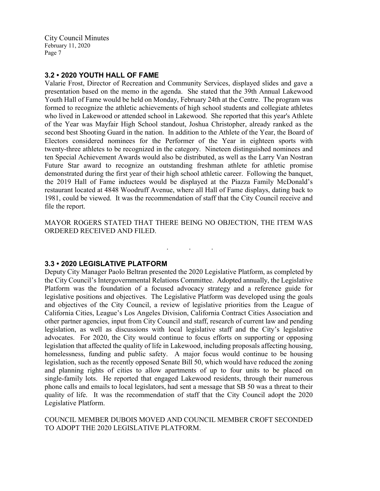## **3.2 • 2020 YOUTH HALL OF FAME**

Valarie Frost, Director of Recreation and Community Services, displayed slides and gave a presentation based on the memo in the agenda. She stated that the 39th Annual Lakewood Youth Hall of Fame would be held on Monday, February 24th at the Centre. The program was formed to recognize the athletic achievements of high school students and collegiate athletes who lived in Lakewood or attended school in Lakewood. She reported that this year's Athlete of the Year was Mayfair High School standout, Joshua Christopher, already ranked as the second best Shooting Guard in the nation. In addition to the Athlete of the Year, the Board of Electors considered nominees for the Performer of the Year in eighteen sports with twenty-three athletes to be recognized in the category. Nineteen distinguished nominees and ten Special Achievement Awards would also be distributed, as well as the Larry Van Nostran Future Star award to recognize an outstanding freshman athlete for athletic promise demonstrated during the first year of their high school athletic career. Following the banquet, the 2019 Hall of Fame inductees would be displayed at the Piazza Family McDonald's restaurant located at 4848 Woodruff Avenue, where all Hall of Fame displays, dating back to 1981, could be viewed. It was the recommendation of staff that the City Council receive and file the report.

MAYOR ROGERS STATED THAT THERE BEING NO OBJECTION, THE ITEM WAS ORDERED RECEIVED AND FILED.

. . .

#### **3.3 • 2020 LEGISLATIVE PLATFORM**

Deputy City Manager Paolo Beltran presented the 2020 Legislative Platform, as completed by the City Council's Intergovernmental Relations Committee. Adopted annually, the Legislative Platform was the foundation of a focused advocacy strategy and a reference guide for legislative positions and objectives. The Legislative Platform was developed using the goals and objectives of the City Council, a review of legislative priorities from the League of California Cities, League's Los Angeles Division, California Contract Cities Association and other partner agencies, input from City Council and staff, research of current law and pending legislation, as well as discussions with local legislative staff and the City's legislative advocates. For 2020, the City would continue to focus efforts on supporting or opposing legislation that affected the quality of life in Lakewood, including proposals affecting housing, homelessness, funding and public safety. A major focus would continue to be housing legislation, such as the recently opposed Senate Bill 50, which would have reduced the zoning and planning rights of cities to allow apartments of up to four units to be placed on single-family lots. He reported that engaged Lakewood residents, through their numerous phone calls and emails to local legislators, had sent a message that SB 50 was a threat to their quality of life. It was the recommendation of staff that the City Council adopt the 2020 Legislative Platform.

### COUNCIL MEMBER DUBOIS MOVED AND COUNCIL MEMBER CROFT SECONDED TO ADOPT THE 2020 LEGISLATIVE PLATFORM.